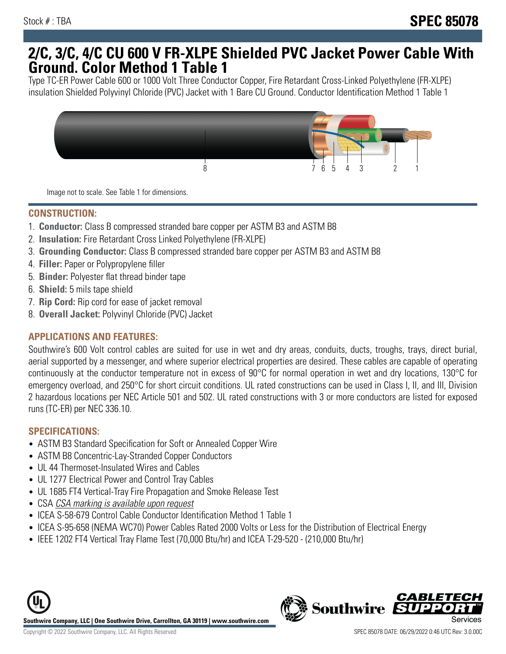## **2/C, 3/C, 4/C CU 600 V FR-XLPE Shielded PVC Jacket Power Cable With Ground. Color Method 1 Table 1**

Type TC-ER Power Cable 600 or 1000 Volt Three Conductor Copper, Fire Retardant Cross-Linked Polyethylene (FR-XLPE) insulation Shielded Polyvinyl Chloride (PVC) Jacket with 1 Bare CU Ground. Conductor Identification Method 1 Table 1



Image not to scale. See Table 1 for dimensions.

#### **CONSTRUCTION:**

- 1. **Conductor:** Class B compressed stranded bare copper per ASTM B3 and ASTM B8
- 2. **Insulation:** Fire Retardant Cross Linked Polyethylene (FR-XLPE)
- 3. **Grounding Conductor:** Class B compressed stranded bare copper per ASTM B3 and ASTM B8
- 4. **Filler:** Paper or Polypropylene filler
- 5. **Binder:** Polyester flat thread binder tape
- 6. **Shield:** 5 mils tape shield
- 7. **Rip Cord:** Rip cord for ease of jacket removal
- 8. **Overall Jacket:** Polyvinyl Chloride (PVC) Jacket

### **APPLICATIONS AND FEATURES:**

Southwire's 600 Volt control cables are suited for use in wet and dry areas, conduits, ducts, troughs, trays, direct burial, aerial supported by a messenger, and where superior electrical properties are desired. These cables are capable of operating continuously at the conductor temperature not in excess of 90°C for normal operation in wet and dry locations, 130°C for emergency overload, and 250°C for short circuit conditions. UL rated constructions can be used in Class I, II, and III, Division 2 hazardous locations per NEC Article 501 and 502. UL rated constructions with 3 or more conductors are listed for exposed runs (TC-ER) per NEC 336.10.

#### **SPECIFICATIONS:**

- ASTM B3 Standard Specification for Soft or Annealed Copper Wire
- ASTM B8 Concentric-Lay-Stranded Copper Conductors
- UL 44 Thermoset-Insulated Wires and Cables
- UL 1277 Electrical Power and Control Tray Cables
- UL 1685 FT4 Vertical-Tray Fire Propagation and Smoke Release Test
- CSA CSA marking is available upon request
- ICEA S-58-679 Control Cable Conductor Identification Method 1 Table 1
- ICEA S-95-658 (NEMA WC70) Power Cables Rated 2000 Volts or Less for the Distribution of Electrical Energy
- IEEE 1202 FT4 Vertical Tray Flame Test (70,000 Btu/hr) and ICEA T-29-520 (210,000 Btu/hr)



*CABLET*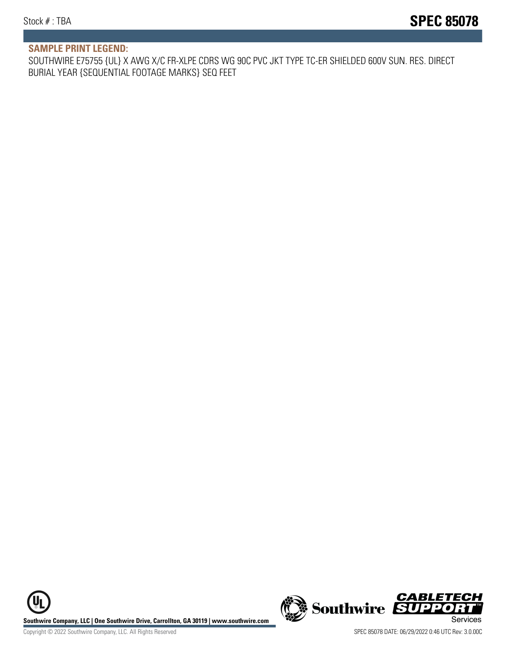#### **SAMPLE PRINT LEGEND:**

SOUTHWIRE E75755 {UL} X AWG X/C FR-XLPE CDRS WG 90C PVC JKT TYPE TC-ER SHIELDED 600V SUN. RES. DIRECT BURIAL YEAR {SEQUENTIAL FOOTAGE MARKS} SEQ FEET

UL **Southwire Company, LLC | One Southwire Drive, Carrollton, GA 30119 | www.southwire.com (New Southwire SUPPORTI**